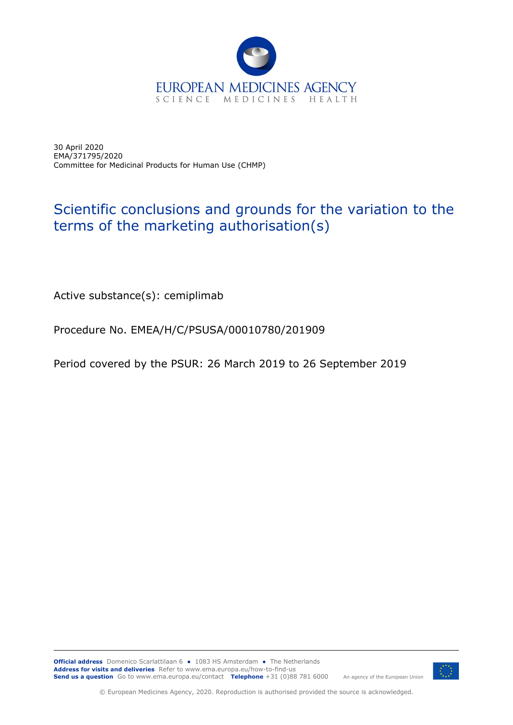

30 April 2020 EMA/371795/2020 Committee for Medicinal Products for Human Use (CHMP)

## Scientific conclusions and grounds for the variation to the terms of the marketing authorisation(s)

Active substance(s): cemiplimab

Procedure No. EMEA/H/C/PSUSA/00010780/201909

Period covered by the PSUR: 26 March 2019 to 26 September 2019